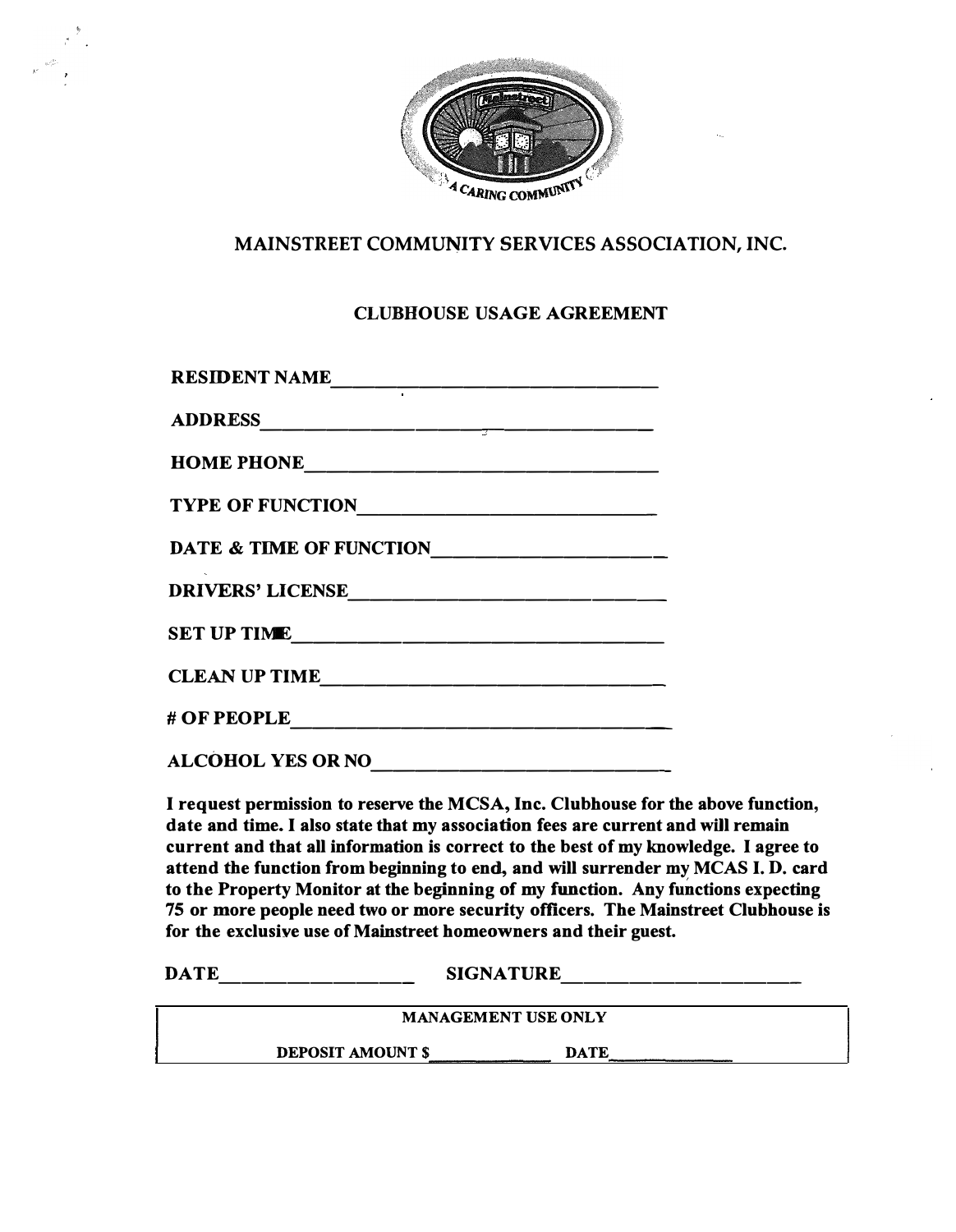

## **MAINSTREET COMMUNITY SERVICES ASSOCIATION, INC.**

## **CLUBHOUSE USAGE AGREEMENT**

| <b>RESIDENT NAME</b>               |
|------------------------------------|
|                                    |
|                                    |
| TYPE OF FUNCTION                   |
| <b>DATE &amp; TIME OF FUNCTION</b> |
| DRIVERS' LICENSE                   |
| <b>SET UP TIME</b>                 |
| CLEAN UP TIME                      |
| <b># OF PEOPLE</b>                 |
| <b>ALCOHOL YES OR NO</b>           |

**I request permission to reserve the MCSA, Inc. Clubhouse for the above function, date and time. I also state that my association fees are current and will remain current and that all information is correct to the best of my knowledge. I agree to attend the function from beginning to end, and will surrender my MCAS I. D. card to the Property Monitor at the beginning of my function. Any functions expecting 75 or more people need two or more security officers. The Mainstreet Clubhouse is for the exclusive use of Mainstreet homeowners and their guest.** 

**DATE** --------- **SIGNATURE** -----------

**MANAGEMENT USE ONLY DEPOSIT AMOUNT\$ DATE**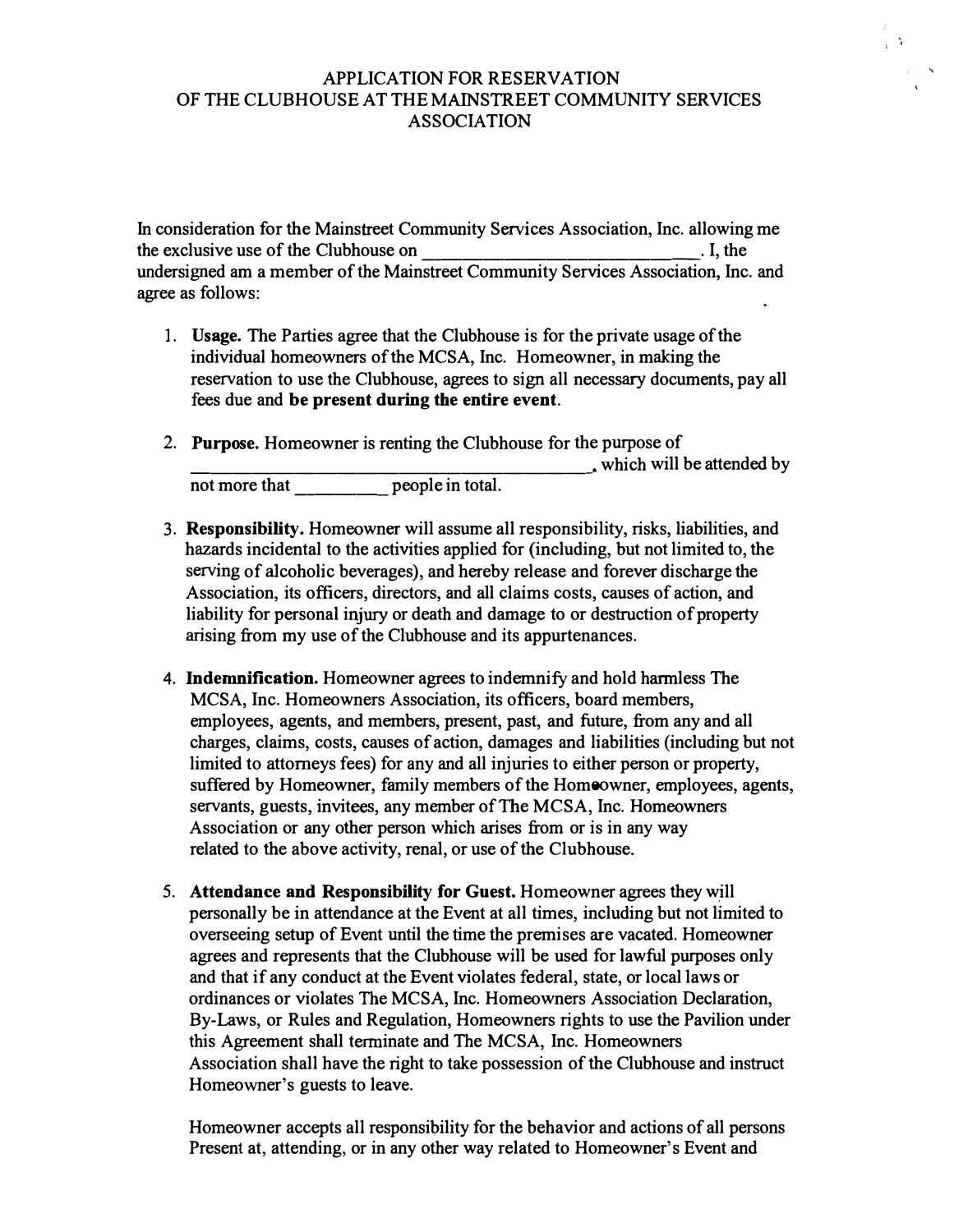## APPLICATION FOR RESERVATION OF THE CLUBHOUSE AT THE MAINSTREET COMMUNITY SERVICES ASSOCIATION

In consideration for the Mainstreet Community Services Association, Inc. allowing me the exclusive use of the Clubhouse on  $\blacksquare$ . I, the undersigned am a member of the Mainstreet Community Services Association, Inc. and agree as follows:

- 1. **Usage.** The Parties agree that the Clubhouse is for the private usage of the individual homeowners of the MCSA, Inc. Homeowner, in making the reservation to use the Clubhouse, agrees to sign all necessary documents, pay all fees due and **be present during the entire event.**
- 2. **Purpose.** Homeowner is renting the Clubhouse for the purpose of not more that people in total.
- 3. **Responsibility.** Homeowner will assume all responsibility, risks, liabilities, and hazards incidental to the activities applied for (including, but not limited to, the serving of alcoholic beverages), and hereby release and forever discharge the Association, its officers, directors, and all claims costs, causes of action, and liability for personal injury or death and damage to or destruction of property arising from my use of the Clubhouse and its appurtenances.
- 4. **Indemnification.** Homeowner agrees to indemnify and hold harmless The MCSA, Inc. Homeowners Association, its officers, board members, employees, agents, and members, present, past, and future, from any and all charges, claims, costs, causes of action, damages and liabilities (including but not limited to attorneys fees) for any and all injuries to either person or property, suffered by Homeowner, family members of the Homeowner, employees, agents, servants, guests, invitees, any member of The MCSA, Inc. Homeowners Association or any other person which arises from or is in any way related to the above activity, renal, or use of the Clubhouse.
- 5. **Attendance and Responsibility for Guest.** Homeowner agrees they will personally be in attendance at the Event at all times, including but not limited to overseeing setup of Event until the time the premises are vacated. Homeowner agrees and represents that the Clubhouse will be used for lawful purposes only and that if any conduct at the Event violates federal, state, or local laws or ordinances or violates The MCSA, Inc. Homeowners Association Declaration, By-Laws, or Rules and Regulation, Homeowners rights to use the Pavilion under this Agreement shall terminate and The MCSA, Inc. Homeowners Association shall have the right to take possession of the Clubhouse and instruct Homeowner's guests to leave.

Homeowner accepts all responsibility for the behavior and actions of all persons Present at, attending, or in any other way related to Homeowner's Event and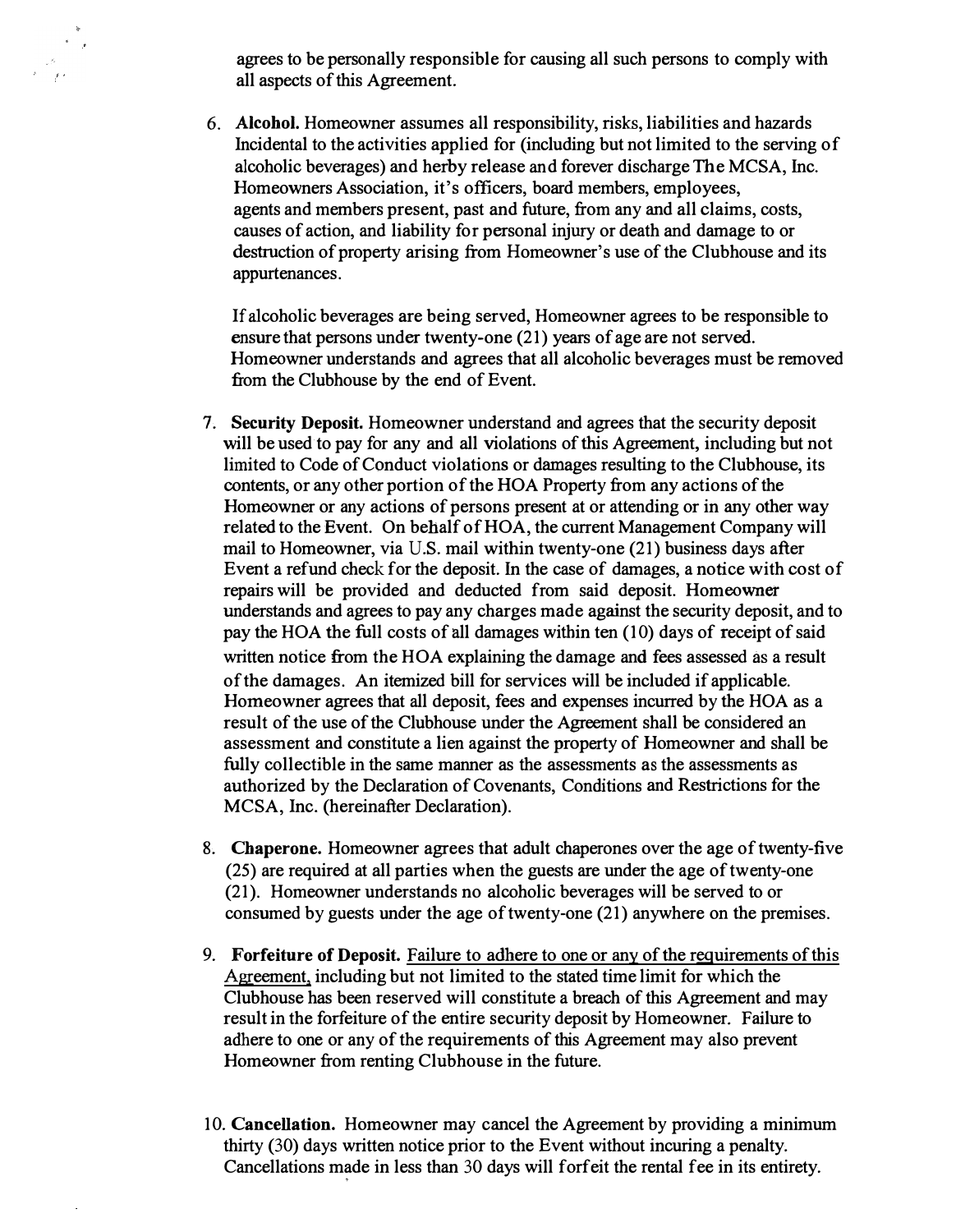agrees to be personally responsible for causing all such persons to comply with all aspects of this Agreement.

6. Alcohol. Homeowner assumes all responsibility, risks, liabilities and hazards Incidental to the activities applied for (including but not limited to the serving of alcoholic beverages) and herby release and forever discharge The MCSA, Inc. Homeowners Association, it's officers, board members, employees, agents and members present, past and future, from any and all claims, costs, causes of action, and liability for personal injury or death and damage to or destruction of property arising from Homeowner's use of the Clubhouse and its appurtenances.

If alcoholic beverages are being served, Homeowner agrees to be responsible to ensure that persons under twenty-one (21) years of age are not served. Homeowner understands and agrees that all alcoholic beverages must be removed from the Clubhouse by the end of Event.

- 7. **Security Deposit.** Homeowner understand and agrees that the security deposit will be used to pay for any and all violations of this Agreement, including but not limited to Code of Conduct violations or damages resulting to the Clubhouse, its contents, or any other portion of the HOA Property from any actions of the Homeowner or any actions of persons present at or attending or in any other way related to the Event. On behalf of HOA, the current Management Company will mail to Homeowner, via U.S. mail within twenty-one (21) business days after Event a refund check for the deposit. In the case of damages, a notice with cost of repairs will be provided and deducted from said deposit. Homeowner understands and agrees to pay any charges made against the security deposit, and to pay the HOA the full costs of all damages within ten (10) days of receipt of said written notice from the HOA explaining the damage and fees assessed as a result ofthe damages. An itemized bill for services will be included if applicable. Homeowner agrees that all deposit, fees and expenses incurred by the HOA as a result of the use of the Clubhouse under the Agreement shall be considered an assessment and constitute a lien against the property of Homeowner and shall be fully collectible in the same manner as the assessments as the assessments as authorized by the Declaration of Covenants, Conditions and Restrictions for the MCSA, Inc. (hereinafter Declaration).
- 8. **Chaperone.** Homeowner agrees that adult chaperones over the age of twenty-five (25) are required at all parties when the guests are under the age of twenty-one (21). Homeowner understands no alcoholic beverages will be served to or consumed by guests under the age of twenty-one (21) anywhere on the premises.
- 9. **Forfeiture of Deposit.** Failure to adhere to one or any of the requirements of this Agreement, including but not limited to the stated time limit for which the Clubhouse has been reserved will constitute a breach of this Agreement and may result in the forfeiture of the entire security deposit by Homeowner. Failure to adhere to one or any of the requirements of this Agreement may also prevent Homeowner from renting Clubhouse in the future.
- 10. **Cancellation.** Homeowner may cancel the Agreement by providing a minimum thirty (30) days written notice prior to the Event without incuring a penalty. Cancellations made in less than 30 days will forfeit the rental fee in its entirety.